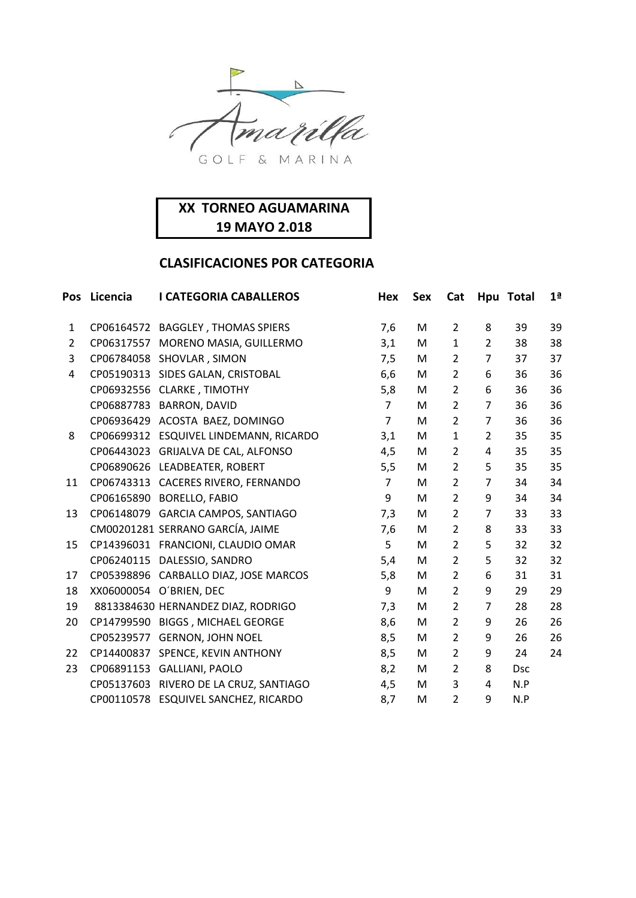

| Pos            | Licencia | <b>I CATEGORIA CABALLEROS</b>          | Hex            | <b>Sex</b> | Cat            |                | Hpu Total  | 1 <sup>a</sup> |
|----------------|----------|----------------------------------------|----------------|------------|----------------|----------------|------------|----------------|
| $\mathbf{1}$   |          | CP06164572 BAGGLEY, THOMAS SPIERS      | 7,6            | M          | $\overline{2}$ | 8              | 39         | 39             |
| $\overline{2}$ |          | CP06317557 MORENO MASIA, GUILLERMO     | 3,1            | M          | $\mathbf{1}$   | $\overline{2}$ | 38         | 38             |
| 3              |          | CP06784058 SHOVLAR, SIMON              | 7,5            | M          | $\overline{2}$ | $\overline{7}$ | 37         | 37             |
| 4              |          | CP05190313 SIDES GALAN, CRISTOBAL      | 6,6            | М          | $\overline{2}$ | 6              | 36         | 36             |
|                |          | CP06932556 CLARKE, TIMOTHY             | 5,8            | M          | $\overline{2}$ | 6              | 36         | 36             |
|                |          | CP06887783 BARRON, DAVID               | $\overline{7}$ | M          | $\overline{2}$ | 7              | 36         | 36             |
|                |          | CP06936429 ACOSTA BAEZ, DOMINGO        | $\overline{7}$ | М          | $\overline{2}$ | $\overline{7}$ | 36         | 36             |
| 8              |          | CP06699312 ESQUIVEL LINDEMANN, RICARDO | 3,1            | M          | $\mathbf{1}$   | $\overline{2}$ | 35         | 35             |
|                |          | CP06443023 GRIJALVA DE CAL, ALFONSO    | 4,5            | M          | $\overline{2}$ | 4              | 35         | 35             |
|                |          | CP06890626 LEADBEATER, ROBERT          | 5,5            | M          | $\overline{2}$ | 5              | 35         | 35             |
| 11             |          | CP06743313 CACERES RIVERO, FERNANDO    | $\overline{7}$ | M          | $\overline{2}$ | $\overline{7}$ | 34         | 34             |
|                |          | CP06165890 BORELLO, FABIO              | 9              | M          | $\overline{2}$ | 9              | 34         | 34             |
| 13             |          | CP06148079 GARCIA CAMPOS, SANTIAGO     | 7,3            | M          | $\overline{2}$ | $\overline{7}$ | 33         | 33             |
|                |          | CM00201281 SERRANO GARCÍA, JAIME       | 7,6            | М          | $\overline{2}$ | 8              | 33         | 33             |
| 15             |          | CP14396031 FRANCIONI, CLAUDIO OMAR     | 5              | M          | $\overline{2}$ | 5              | 32         | 32             |
|                |          | CP06240115 DALESSIO, SANDRO            | 5,4            | M          | $\overline{2}$ | 5              | 32         | 32             |
| 17             |          | CP05398896 CARBALLO DIAZ, JOSE MARCOS  | 5,8            | M          | $\overline{2}$ | 6              | 31         | 31             |
| 18             |          | XX06000054 O'BRIEN, DEC                | 9              | M          | $\overline{2}$ | 9              | 29         | 29             |
| 19             |          | 8813384630 HERNANDEZ DIAZ, RODRIGO     | 7,3            | M          | $\overline{2}$ | $\overline{7}$ | 28         | 28             |
| 20             |          | CP14799590 BIGGS, MICHAEL GEORGE       | 8,6            | M          | $\overline{2}$ | 9              | 26         | 26             |
|                |          | CP05239577 GERNON, JOHN NOEL           | 8,5            | M          | $\overline{2}$ | 9              | 26         | 26             |
| 22             |          | CP14400837 SPENCE, KEVIN ANTHONY       | 8,5            | М          | $\overline{2}$ | 9              | 24         | 24             |
| 23             |          | CP06891153 GALLIANI, PAOLO             | 8,2            | M          | $\overline{2}$ | 8              | <b>Dsc</b> |                |
|                |          | CP05137603 RIVERO DE LA CRUZ, SANTIAGO | 4,5            | M          | 3              | 4              | N.P        |                |
|                |          | CP00110578 ESQUIVEL SANCHEZ, RICARDO   | 8,7            | M          | $\overline{2}$ | 9              | N.P        |                |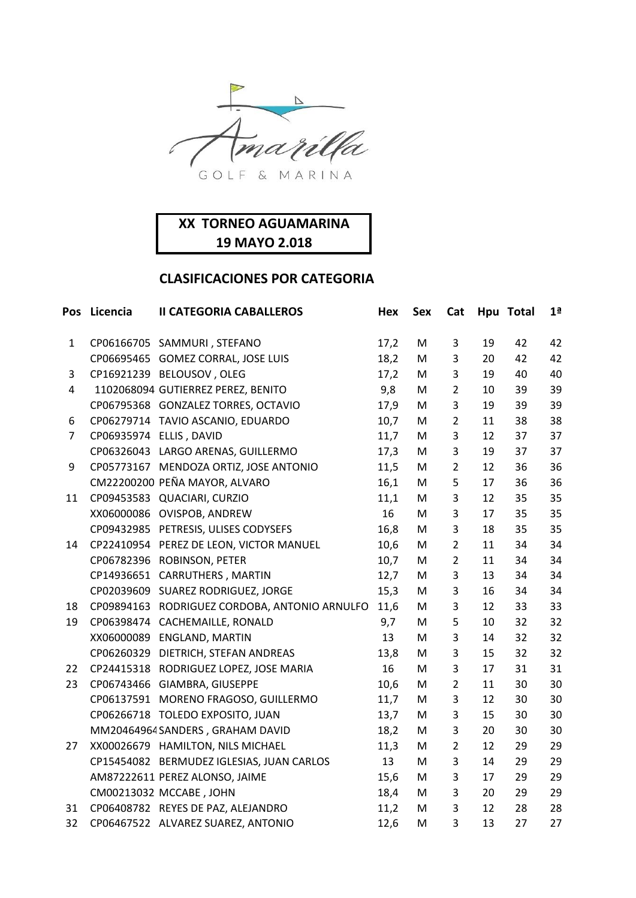

|                | Pos Licencia | <b>II CATEGORIA CABALLEROS</b>                | Hex  | <b>Sex</b> | Cat            |    | Hpu Total | 1 <sup>a</sup> |
|----------------|--------------|-----------------------------------------------|------|------------|----------------|----|-----------|----------------|
| $\mathbf{1}$   |              | CP06166705 SAMMURI, STEFANO                   | 17,2 | M          | 3              | 19 | 42        | 42             |
|                |              | CP06695465 GOMEZ CORRAL, JOSE LUIS            | 18,2 | M          | 3              | 20 | 42        | 42             |
| 3              |              | CP16921239 BELOUSOV, OLEG                     | 17,2 | M          | 3              | 19 | 40        | 40             |
| 4              |              | 1102068094 GUTIERREZ PEREZ, BENITO            | 9,8  | M          | $\overline{2}$ | 10 | 39        | 39             |
|                |              | CP06795368 GONZALEZ TORRES, OCTAVIO           | 17,9 | M          | 3              | 19 | 39        | 39             |
| 6              |              | CP06279714 TAVIO ASCANIO, EDUARDO             | 10,7 | M          | $\overline{2}$ | 11 | 38        | 38             |
| $\overline{7}$ |              | CP06935974 ELLIS, DAVID                       | 11,7 | M          | 3              | 12 | 37        | 37             |
|                |              | CP06326043 LARGO ARENAS, GUILLERMO            | 17,3 | M          | 3              | 19 | 37        | 37             |
| 9              |              | CP05773167 MENDOZA ORTIZ, JOSE ANTONIO        | 11,5 | M          | $\overline{2}$ | 12 | 36        | 36             |
|                |              | CM22200200 PEÑA MAYOR, ALVARO                 | 16,1 | M          | 5              | 17 | 36        | 36             |
| 11             |              | CP09453583 QUACIARI, CURZIO                   | 11,1 | M          | 3              | 12 | 35        | 35             |
|                |              | XX06000086 OVISPOB, ANDREW                    | 16   | M          | 3              | 17 | 35        | 35             |
|                |              | CP09432985 PETRESIS, ULISES CODYSEFS          | 16,8 | M          | 3              | 18 | 35        | 35             |
| 14             |              | CP22410954 PEREZ DE LEON, VICTOR MANUEL       | 10,6 | M          | $\overline{2}$ | 11 | 34        | 34             |
|                |              | CP06782396 ROBINSON, PETER                    | 10,7 | M          | $\overline{2}$ | 11 | 34        | 34             |
|                |              | CP14936651 CARRUTHERS, MARTIN                 | 12,7 | M          | $\mathsf 3$    | 13 | 34        | 34             |
|                |              | CP02039609 SUAREZ RODRIGUEZ, JORGE            | 15,3 | M          | 3              | 16 | 34        | 34             |
| 18             |              | CP09894163 RODRIGUEZ CORDOBA, ANTONIO ARNULFO | 11,6 | M          | 3              | 12 | 33        | 33             |
| 19             |              | CP06398474 CACHEMAILLE, RONALD                | 9,7  | M          | 5              | 10 | 32        | 32             |
|                |              | XX06000089 ENGLAND, MARTIN                    | 13   | M          | 3              | 14 | 32        | 32             |
|                |              | CP06260329 DIETRICH, STEFAN ANDREAS           | 13,8 | M          | 3              | 15 | 32        | 32             |
| 22             |              | CP24415318 RODRIGUEZ LOPEZ, JOSE MARIA        | 16   | M          | 3              | 17 | 31        | 31             |
| 23             |              | CP06743466 GIAMBRA, GIUSEPPE                  | 10,6 | M          | $\overline{2}$ | 11 | 30        | 30             |
|                |              | CP06137591 MORENO FRAGOSO, GUILLERMO          | 11,7 | ${\sf M}$  | 3              | 12 | 30        | 30             |
|                |              | CP06266718 TOLEDO EXPOSITO, JUAN              | 13,7 | M          | 3              | 15 | 30        | 30             |
|                |              | MM20464964 SANDERS, GRAHAM DAVID              | 18,2 | ${\sf M}$  | 3              | 20 | 30        | 30             |
| 27             |              | XX00026679 HAMILTON, NILS MICHAEL             | 11,3 | M          | $\overline{2}$ | 12 | 29        | 29             |
|                |              | CP15454082 BERMUDEZ IGLESIAS, JUAN CARLOS     | 13   | M          | 3              | 14 | 29        | 29             |
|                |              | AM87222611 PEREZ ALONSO, JAIME                | 15,6 | M          | 3              | 17 | 29        | 29             |
|                |              | CM00213032 MCCABE, JOHN                       | 18,4 | M          | 3              | 20 | 29        | 29             |
| 31             |              | CP06408782 REYES DE PAZ, ALEJANDRO            | 11,2 | M          | 3              | 12 | 28        | 28             |
| 32             |              | CP06467522 ALVAREZ SUAREZ, ANTONIO            | 12,6 | M          | 3              | 13 | 27        | 27             |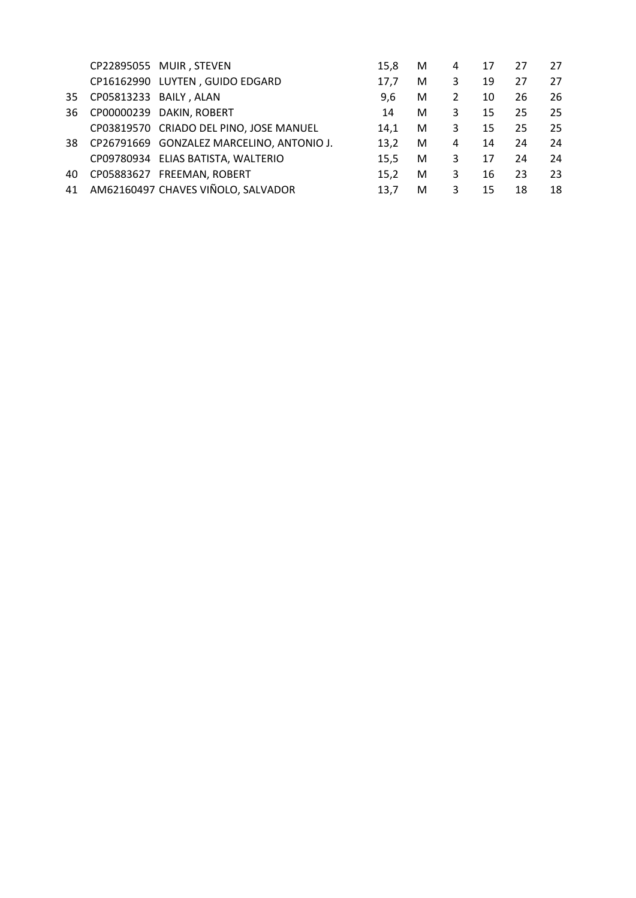|    |                        | CP22895055 MUIR, STEVEN                   | 15,8 | M | 4 | 17 | 27 | 27 |
|----|------------------------|-------------------------------------------|------|---|---|----|----|----|
|    |                        | CP16162990 LUYTEN, GUIDO EDGARD           | 17.7 | м | 3 | 19 | 27 | 27 |
| 35 | CP05813233 BAILY, ALAN |                                           | 9,6  | М | 2 | 10 | 26 | 26 |
| 36 |                        | CP00000239 DAKIN, ROBERT                  | 14   | м | 3 | 15 | 25 | 25 |
|    |                        | CP03819570 CRIADO DEL PINO, JOSE MANUEL   | 14.1 | М | 3 | 15 | 25 | 25 |
| 38 |                        | CP26791669 GONZALEZ MARCELINO, ANTONIO J. | 13,2 | М | 4 | 14 | 24 | 24 |
|    |                        | CP09780934 ELIAS BATISTA, WALTERIO        | 15,5 | М | 3 | 17 | 24 | 24 |
| 40 |                        | CP05883627 FREEMAN, ROBERT                | 15.2 | м | 3 | 16 | 23 | 23 |
| 41 |                        | AM62160497 CHAVES VIÑOLO, SALVADOR        | 13.7 | м | 3 | 15 | 18 | 18 |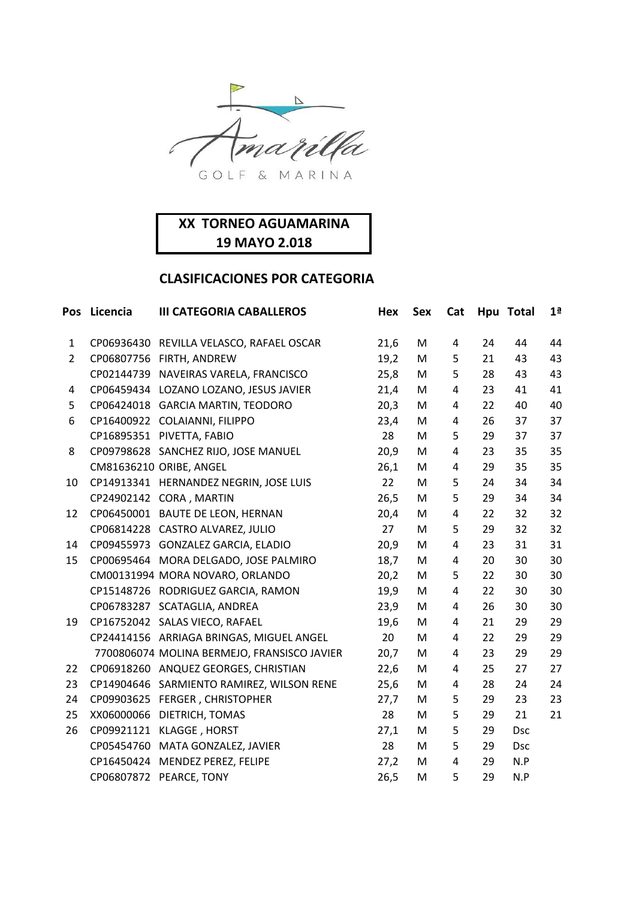

| Pos            | Licencia   | <b>III CATEGORIA CABALLEROS</b>             | Hex  | <b>Sex</b> | Cat |    | Hpu Total  | 1 <sup>a</sup> |
|----------------|------------|---------------------------------------------|------|------------|-----|----|------------|----------------|
| 1              |            | CP06936430 REVILLA VELASCO, RAFAEL OSCAR    | 21,6 | M          | 4   | 24 | 44         | 44             |
| $\overline{2}$ |            | CP06807756 FIRTH, ANDREW                    | 19,2 | M          | 5   | 21 | 43         | 43             |
|                |            | CP02144739 NAVEIRAS VARELA, FRANCISCO       | 25,8 | M          | 5   | 28 | 43         | 43             |
| 4              |            | CP06459434 LOZANO LOZANO, JESUS JAVIER      | 21,4 | M          | 4   | 23 | 41         | 41             |
| 5              |            | CP06424018 GARCIA MARTIN, TEODORO           | 20,3 | M          | 4   | 22 | 40         | 40             |
| 6              |            | CP16400922 COLAIANNI, FILIPPO               | 23,4 | M          | 4   | 26 | 37         | 37             |
|                |            | CP16895351 PIVETTA, FABIO                   | 28   | M          | 5   | 29 | 37         | 37             |
| 8              |            | CP09798628 SANCHEZ RIJO, JOSE MANUEL        | 20,9 | M          | 4   | 23 | 35         | 35             |
|                |            | CM81636210 ORIBE, ANGEL                     | 26,1 | М          | 4   | 29 | 35         | 35             |
| 10             |            | CP14913341 HERNANDEZ NEGRIN, JOSE LUIS      | 22   | M          | 5   | 24 | 34         | 34             |
|                |            | CP24902142 CORA, MARTIN                     | 26,5 | M          | 5   | 29 | 34         | 34             |
| 12             |            | CP06450001 BAUTE DE LEON, HERNAN            | 20,4 | M          | 4   | 22 | 32         | 32             |
|                |            | CP06814228 CASTRO ALVAREZ, JULIO            | 27   | M          | 5   | 29 | 32         | 32             |
| 14             |            | CP09455973 GONZALEZ GARCIA, ELADIO          | 20,9 | M          | 4   | 23 | 31         | 31             |
| 15             |            | CP00695464 MORA DELGADO, JOSE PALMIRO       | 18,7 | M          | 4   | 20 | 30         | 30             |
|                |            | CM00131994 MORA NOVARO, ORLANDO             | 20,2 | M          | 5   | 22 | 30         | 30             |
|                |            | CP15148726 RODRIGUEZ GARCIA, RAMON          | 19,9 | M          | 4   | 22 | 30         | 30             |
|                |            | CP06783287 SCATAGLIA, ANDREA                | 23,9 | M          | 4   | 26 | 30         | 30             |
| 19             |            | CP16752042 SALAS VIECO, RAFAEL              | 19,6 | M          | 4   | 21 | 29         | 29             |
|                |            | CP24414156 ARRIAGA BRINGAS, MIGUEL ANGEL    | 20   | M          | 4   | 22 | 29         | 29             |
|                |            | 7700806074 MOLINA BERMEJO, FRANSISCO JAVIER | 20,7 | M          | 4   | 23 | 29         | 29             |
| 22             |            | CP06918260 ANQUEZ GEORGES, CHRISTIAN        | 22,6 | M          | 4   | 25 | 27         | 27             |
| 23             |            | CP14904646 SARMIENTO RAMIREZ, WILSON RENE   | 25,6 | M          | 4   | 28 | 24         | 24             |
| 24             |            | CP09903625 FERGER, CHRISTOPHER              | 27,7 | M          | 5   | 29 | 23         | 23             |
| 25             | XX06000066 | DIETRICH, TOMAS                             | 28   | M          | 5   | 29 | 21         | 21             |
| 26             |            | CP09921121 KLAGGE, HORST                    | 27,1 | M          | 5   | 29 | <b>Dsc</b> |                |
|                |            | CP05454760 MATA GONZALEZ, JAVIER            | 28   | M          | 5   | 29 | <b>Dsc</b> |                |
|                |            | CP16450424 MENDEZ PEREZ, FELIPE             | 27,2 | M          | 4   | 29 | N.P        |                |
|                |            | CP06807872 PEARCE, TONY                     | 26,5 | M          | 5   | 29 | N.P        |                |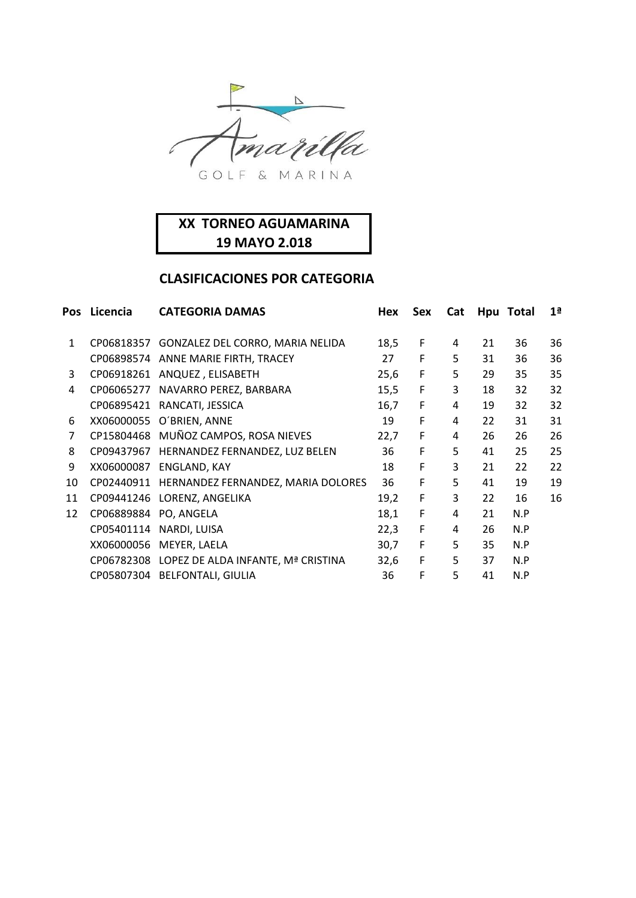

| Pos          | Licencia   | <b>CATEGORIA DAMAS</b>                        | <b>Hex</b> | Sex | Cat | Hpu | <b>Total</b> | 1 <sup>a</sup> |
|--------------|------------|-----------------------------------------------|------------|-----|-----|-----|--------------|----------------|
| $\mathbf{1}$ | CP06818357 | GONZALEZ DEL CORRO, MARIA NELIDA              | 18,5       | F   | 4   | 21  | 36           | 36             |
|              | CP06898574 | ANNE MARIE FIRTH, TRACEY                      | 27         | F   | 5   | 31  | 36           | 36             |
| 3            | CP06918261 | ANQUEZ, ELISABETH                             | 25,6       | F   | 5   | 29  | 35           | 35             |
| 4            | CP06065277 | NAVARRO PEREZ, BARBARA                        | 15,5       | F   | 3   | 18  | 32           | 32             |
|              | CP06895421 | RANCATI, JESSICA                              | 16,7       | F   | 4   | 19  | 32           | 32             |
| 6            | XX06000055 | O'BRIEN, ANNE                                 | 19         | F   | 4   | 22  | 31           | 31             |
| 7            |            | CP15804468 MUÑOZ CAMPOS, ROSA NIEVES          | 22,7       | F   | 4   | 26  | 26           | 26             |
| 8            | CP09437967 | HERNANDEZ FERNANDEZ, LUZ BELEN                | 36         | F   | 5   | 41  | 25           | 25             |
| 9            | XX06000087 | ENGLAND, KAY                                  | 18         | F   | 3   | 21  | 22           | 22             |
| 10           | CP02440911 | HERNANDEZ FERNANDEZ, MARIA DOLORES            | 36         | F   | 5   | 41  | 19           | 19             |
| 11           | CP09441246 | LORENZ, ANGELIKA                              | 19,2       | F   | 3   | 22  | 16           | 16             |
| 12           | CP06889884 | PO, ANGELA                                    | 18,1       | F   | 4   | 21  | N.P          |                |
|              | CP05401114 | NARDI, LUISA                                  | 22,3       | F   | 4   | 26  | N.P          |                |
|              | XX06000056 | MEYER, LAELA                                  | 30,7       | F   | 5   | 35  | N.P          |                |
|              |            | CP06782308 LOPEZ DE ALDA INFANTE, Mª CRISTINA | 32,6       | F   | 5   | 37  | N.P          |                |
|              |            | CP05807304 BELFONTALI, GIULIA                 | 36         | F   | 5   | 41  | N.P          |                |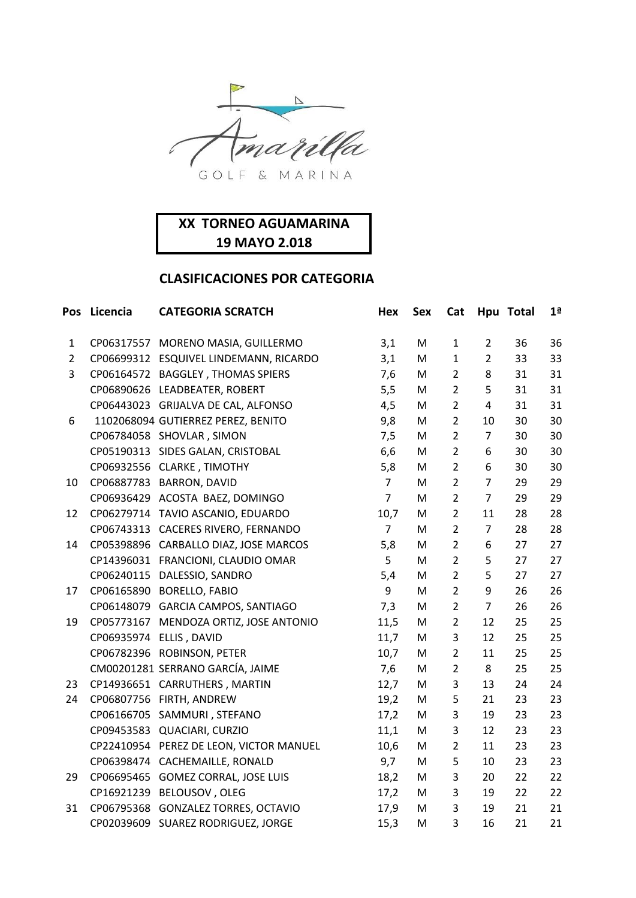

| Pos            | Licencia | <b>CATEGORIA SCRATCH</b>                | Hex            | <b>Sex</b> | Cat            |                | Hpu Total | 1 <sup>a</sup> |
|----------------|----------|-----------------------------------------|----------------|------------|----------------|----------------|-----------|----------------|
| $\mathbf{1}$   |          | CP06317557 MORENO MASIA, GUILLERMO      | 3,1            | M          | $\mathbf{1}$   | $\overline{2}$ | 36        | 36             |
| $\overline{2}$ |          | CP06699312 ESQUIVEL LINDEMANN, RICARDO  | 3,1            | M          | $\mathbf{1}$   | $\overline{2}$ | 33        | 33             |
| 3              |          | CP06164572 BAGGLEY, THOMAS SPIERS       | 7,6            | M          | $\overline{2}$ | 8              | 31        | 31             |
|                |          | CP06890626 LEADBEATER, ROBERT           | 5,5            | M          | $\overline{2}$ | 5              | 31        | 31             |
|                |          | CP06443023 GRIJALVA DE CAL, ALFONSO     | 4,5            | M          | $\overline{2}$ | $\overline{4}$ | 31        | 31             |
| 6              |          | 1102068094 GUTIERREZ PEREZ, BENITO      | 9,8            | M          | $\overline{2}$ | 10             | 30        | 30             |
|                |          | CP06784058 SHOVLAR, SIMON               | 7,5            | M          | $\overline{2}$ | $\overline{7}$ | 30        | 30             |
|                |          | CP05190313 SIDES GALAN, CRISTOBAL       | 6,6            | M          | $\overline{2}$ | 6              | 30        | 30             |
|                |          | CP06932556 CLARKE, TIMOTHY              | 5,8            | M          | $\overline{2}$ | 6              | 30        | 30             |
| 10             |          | CP06887783 BARRON, DAVID                | $\overline{7}$ | M          | $\overline{2}$ | $\overline{7}$ | 29        | 29             |
|                |          | CP06936429 ACOSTA BAEZ, DOMINGO         | $\overline{7}$ | M          | $\overline{2}$ | $\overline{7}$ | 29        | 29             |
| 12             |          | CP06279714 TAVIO ASCANIO, EDUARDO       | 10,7           | M          | $\overline{2}$ | 11             | 28        | 28             |
|                |          | CP06743313 CACERES RIVERO, FERNANDO     | $\overline{7}$ | M          | $\overline{2}$ | $\overline{7}$ | 28        | 28             |
| 14             |          | CP05398896 CARBALLO DIAZ, JOSE MARCOS   | 5,8            | M          | $\overline{2}$ | 6              | 27        | 27             |
|                |          | CP14396031 FRANCIONI, CLAUDIO OMAR      | 5              | M          | $\overline{2}$ | 5              | 27        | 27             |
|                |          | CP06240115 DALESSIO, SANDRO             | 5,4            | M          | $\overline{2}$ | 5              | 27        | 27             |
| 17             |          | CP06165890 BORELLO, FABIO               | 9              | M          | $\overline{2}$ | 9              | 26        | 26             |
|                |          | CP06148079 GARCIA CAMPOS, SANTIAGO      | 7,3            | M          | $\overline{2}$ | $\overline{7}$ | 26        | 26             |
| 19             |          | CP05773167 MENDOZA ORTIZ, JOSE ANTONIO  | 11,5           | M          | $\overline{2}$ | 12             | 25        | 25             |
|                |          | CP06935974 ELLIS, DAVID                 | 11,7           | M          | 3              | 12             | 25        | 25             |
|                |          | CP06782396 ROBINSON, PETER              | 10,7           | M          | $\overline{2}$ | 11             | 25        | 25             |
|                |          | CM00201281 SERRANO GARCÍA, JAIME        | 7,6            | M          | $\overline{2}$ | 8              | 25        | 25             |
| 23             |          | CP14936651 CARRUTHERS, MARTIN           | 12,7           | M          | 3              | 13             | 24        | 24             |
| 24             |          | CP06807756 FIRTH, ANDREW                | 19,2           | ${\sf M}$  | 5              | 21             | 23        | 23             |
|                |          | CP06166705 SAMMURI, STEFANO             | 17,2           | M          | 3              | 19             | 23        | 23             |
|                |          | CP09453583 QUACIARI, CURZIO             | 11,1           | M          | 3              | 12             | 23        | 23             |
|                |          | CP22410954 PEREZ DE LEON, VICTOR MANUEL | 10,6           | M          | $\overline{2}$ | 11             | 23        | 23             |
|                |          | CP06398474 CACHEMAILLE, RONALD          | 9,7            | M          | 5              | 10             | 23        | 23             |
| 29             |          | CP06695465 GOMEZ CORRAL, JOSE LUIS      | 18,2           | M          | 3              | 20             | 22        | 22             |
|                |          | CP16921239 BELOUSOV, OLEG               | 17,2           | M          | 3              | 19             | 22        | 22             |
| 31             |          | CP06795368 GONZALEZ TORRES, OCTAVIO     | 17,9           | M          | 3              | 19             | 21        | 21             |
|                |          | CP02039609 SUAREZ RODRIGUEZ, JORGE      | 15,3           | M          | 3              | 16             | 21        | 21             |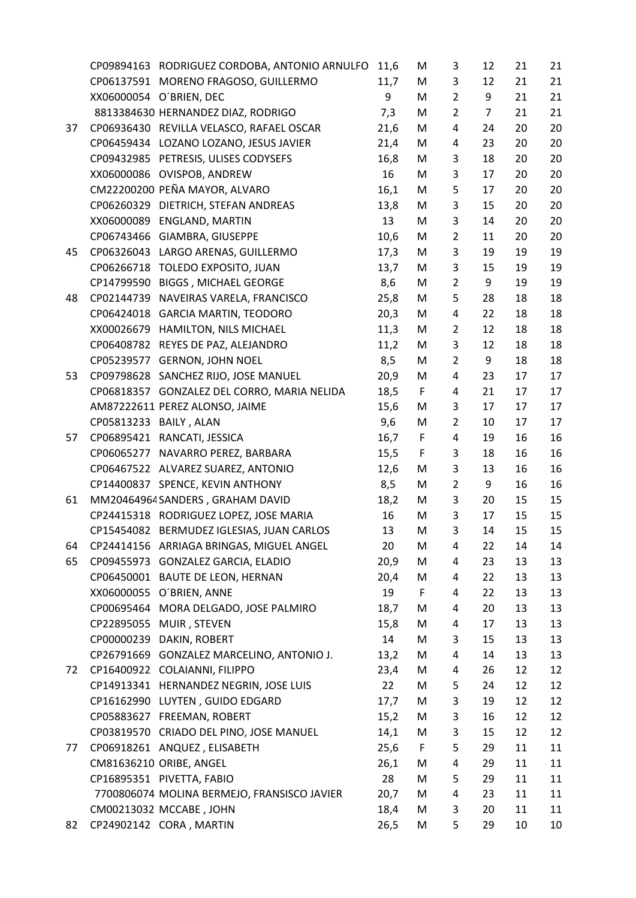|    |                        | CP09894163 RODRIGUEZ CORDOBA, ANTONIO ARNULFO | 11,6 | М           | 3              | 12             | 21 | 21 |
|----|------------------------|-----------------------------------------------|------|-------------|----------------|----------------|----|----|
|    |                        | CP06137591 MORENO FRAGOSO, GUILLERMO          | 11,7 | M           | 3              | 12             | 21 | 21 |
|    |                        | XX06000054 O'BRIEN, DEC                       | 9    | M           | $\overline{2}$ | 9              | 21 | 21 |
|    |                        | 8813384630 HERNANDEZ DIAZ, RODRIGO            | 7,3  | M           | $\overline{2}$ | $\overline{7}$ | 21 | 21 |
| 37 |                        | CP06936430 REVILLA VELASCO, RAFAEL OSCAR      | 21,6 | M           | 4              | 24             | 20 | 20 |
|    |                        | CP06459434 LOZANO LOZANO, JESUS JAVIER        | 21,4 | M           | 4              | 23             | 20 | 20 |
|    |                        | CP09432985 PETRESIS, ULISES CODYSEFS          | 16,8 | M           | 3              | 18             | 20 | 20 |
|    |                        | XX06000086 OVISPOB, ANDREW                    | 16   | M           | 3              | 17             | 20 | 20 |
|    |                        | CM22200200 PEÑA MAYOR, ALVARO                 | 16,1 | M           | 5              | 17             | 20 | 20 |
|    |                        | CP06260329 DIETRICH, STEFAN ANDREAS           | 13,8 | M           | 3              | 15             | 20 | 20 |
|    |                        | XX06000089 ENGLAND, MARTIN                    | 13   | M           | 3              | 14             | 20 | 20 |
|    |                        | CP06743466 GIAMBRA, GIUSEPPE                  | 10,6 | M           | $\overline{2}$ | 11             | 20 | 20 |
| 45 |                        | CP06326043 LARGO ARENAS, GUILLERMO            | 17,3 | M           | 3              | 19             | 19 | 19 |
|    |                        | CP06266718 TOLEDO EXPOSITO, JUAN              | 13,7 | M           | 3              | 15             | 19 | 19 |
|    |                        | CP14799590 BIGGS, MICHAEL GEORGE              | 8,6  | M           | $\overline{2}$ | 9              | 19 | 19 |
| 48 | CP02144739             | NAVEIRAS VARELA, FRANCISCO                    | 25,8 | M           | 5              | 28             | 18 | 18 |
|    |                        | CP06424018 GARCIA MARTIN, TEODORO             | 20,3 | M           | 4              | 22             | 18 | 18 |
|    |                        | XX00026679 HAMILTON, NILS MICHAEL             | 11,3 | M           | $\overline{2}$ | 12             | 18 | 18 |
|    |                        | CP06408782 REYES DE PAZ, ALEJANDRO            | 11,2 | M           | 3              | 12             | 18 | 18 |
|    |                        | CP05239577 GERNON, JOHN NOEL                  | 8,5  | M           | $\overline{2}$ | 9              | 18 | 18 |
| 53 |                        | CP09798628 SANCHEZ RIJO, JOSE MANUEL          | 20,9 | M           | 4              | 23             | 17 | 17 |
|    |                        | CP06818357 GONZALEZ DEL CORRO, MARIA NELIDA   | 18,5 | F           | 4              | 21             | 17 | 17 |
|    |                        | AM87222611 PEREZ ALONSO, JAIME                | 15,6 | M           | 3              | 17             | 17 | 17 |
|    | CP05813233 BAILY, ALAN |                                               | 9,6  | M           | $\overline{2}$ | 10             | 17 | 17 |
| 57 |                        | CP06895421 RANCATI, JESSICA                   | 16,7 | F           | 4              | 19             | 16 | 16 |
|    |                        | CP06065277 NAVARRO PEREZ, BARBARA             | 15,5 | F           | 3              | 18             | 16 | 16 |
|    |                        | CP06467522 ALVAREZ SUAREZ, ANTONIO            | 12,6 | M           | 3              | 13             | 16 | 16 |
|    |                        | CP14400837 SPENCE, KEVIN ANTHONY              | 8,5  | M           | $\overline{2}$ | 9              | 16 | 16 |
| 61 |                        | MM20464964 SANDERS, GRAHAM DAVID              | 18,2 | M           | 3              | 20             | 15 | 15 |
|    |                        | CP24415318 RODRIGUEZ LOPEZ, JOSE MARIA        | 16   | M           | 3              | 17             | 15 | 15 |
|    |                        | CP15454082 BERMUDEZ IGLESIAS, JUAN CARLOS     | 13   | M           | 3              | 14             | 15 | 15 |
| 64 |                        | CP24414156 ARRIAGA BRINGAS, MIGUEL ANGEL      | 20   | М           | 4              | 22             | 14 | 14 |
| 65 |                        | CP09455973 GONZALEZ GARCIA, ELADIO            | 20,9 | M           | 4              | 23             | 13 | 13 |
|    |                        | CP06450001 BAUTE DE LEON, HERNAN              | 20,4 | M           | 4              | 22             | 13 | 13 |
|    | XX06000055             | O'BRIEN, ANNE                                 | 19   | F           | 4              | 22             | 13 | 13 |
|    |                        | CP00695464 MORA DELGADO, JOSE PALMIRO         | 18,7 | M           | 4              | 20             | 13 | 13 |
|    | CP22895055             | MUIR, STEVEN                                  | 15,8 | M           | 4              | 17             | 13 | 13 |
|    |                        | CP00000239 DAKIN, ROBERT                      | 14   | M           | 3              | 15             | 13 | 13 |
|    | CP26791669             | GONZALEZ MARCELINO, ANTONIO J.                | 13,2 | M           | 4              | 14             | 13 | 13 |
| 72 |                        | CP16400922 COLAIANNI, FILIPPO                 | 23,4 | M           | 4              | 26             | 12 | 12 |
|    |                        | CP14913341 HERNANDEZ NEGRIN, JOSE LUIS        | 22   | M           | 5              | 24             | 12 | 12 |
|    |                        | CP16162990 LUYTEN, GUIDO EDGARD               | 17,7 | M           | 3              | 19             | 12 | 12 |
|    |                        | CP05883627 FREEMAN, ROBERT                    | 15,2 | M           | 3              | 16             | 12 | 12 |
|    |                        | CP03819570 CRIADO DEL PINO, JOSE MANUEL       | 14,1 | M           | 3              | 15             | 12 | 12 |
| 77 |                        | CP06918261 ANQUEZ, ELISABETH                  | 25,6 | $\mathsf F$ | 5              | 29             | 11 | 11 |
|    |                        | CM81636210 ORIBE, ANGEL                       | 26,1 | M           | 4              | 29             | 11 | 11 |
|    |                        | CP16895351 PIVETTA, FABIO                     | 28   | M           | 5              | 29             | 11 | 11 |
|    |                        | 7700806074 MOLINA BERMEJO, FRANSISCO JAVIER   | 20,7 | M           | 4              | 23             | 11 | 11 |
|    |                        | CM00213032 MCCABE, JOHN                       | 18,4 | M           | 3              | 20             | 11 | 11 |
| 82 |                        | CP24902142 CORA, MARTIN                       | 26,5 | M           | 5              | 29             | 10 | 10 |
|    |                        |                                               |      |             |                |                |    |    |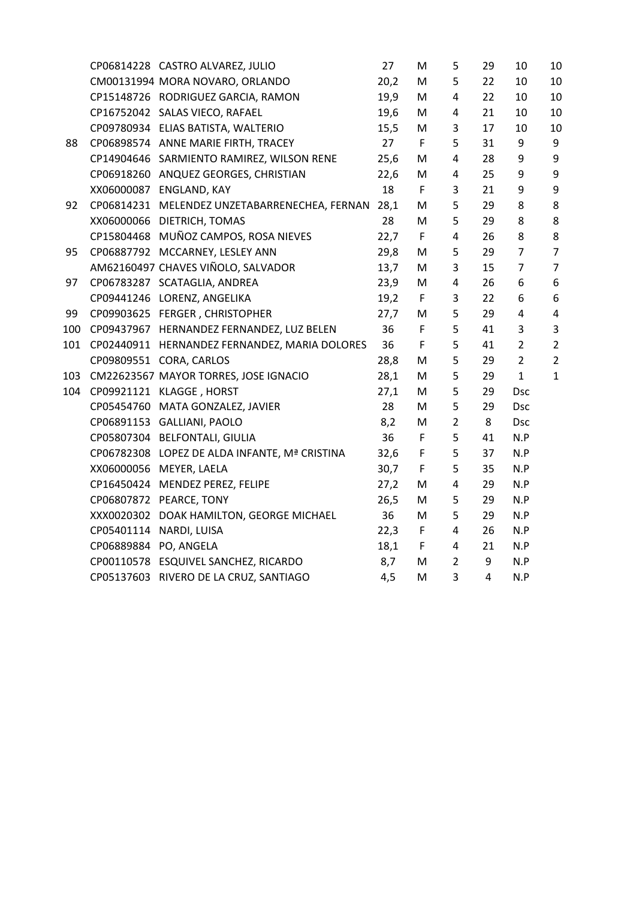|     |                       | CP06814228 CASTRO ALVAREZ, JULIO                   | 27   | M           | 5                       | 29             | 10             | 10             |
|-----|-----------------------|----------------------------------------------------|------|-------------|-------------------------|----------------|----------------|----------------|
|     |                       | CM00131994 MORA NOVARO, ORLANDO                    | 20,2 | M           | 5                       | 22             | 10             | 10             |
|     |                       | CP15148726 RODRIGUEZ GARCIA, RAMON                 | 19,9 | M           | 4                       | 22             | 10             | 10             |
|     |                       | CP16752042 SALAS VIECO, RAFAEL                     | 19,6 | M           | $\overline{4}$          | 21             | 10             | 10             |
|     |                       | CP09780934 ELIAS BATISTA, WALTERIO                 | 15,5 | M           | 3                       | 17             | 10             | 10             |
| 88  |                       | CP06898574 ANNE MARIE FIRTH, TRACEY                | 27   | F           | 5                       | 31             | 9              | 9              |
|     |                       | CP14904646 SARMIENTO RAMIREZ, WILSON RENE          | 25,6 | M           | $\overline{\mathbf{4}}$ | 28             | 9              | 9              |
|     |                       | CP06918260 ANQUEZ GEORGES, CHRISTIAN               | 22,6 | M           | 4                       | 25             | 9              | 9              |
|     |                       | XX06000087 ENGLAND, KAY                            | 18   | $\mathsf F$ | 3                       | 21             | 9              | $9\,$          |
| 92  |                       | CP06814231 MELENDEZ UNZETABARRENECHEA, FERNAN 28,1 |      | M           | 5                       | 29             | 8              | 8              |
|     |                       | XX06000066 DIETRICH, TOMAS                         | 28   | M           | 5                       | 29             | 8              | 8              |
|     |                       | CP15804468 MUÑOZ CAMPOS, ROSA NIEVES               | 22,7 | $\mathsf F$ | $\overline{4}$          | 26             | 8              | 8              |
| 95  |                       | CP06887792 MCCARNEY, LESLEY ANN                    | 29,8 | M           | 5                       | 29             | $\overline{7}$ | $\overline{7}$ |
|     |                       | AM62160497 CHAVES VIÑOLO, SALVADOR                 | 13,7 | M           | 3                       | 15             | $\overline{7}$ | $\overline{7}$ |
| 97  |                       | CP06783287 SCATAGLIA, ANDREA                       | 23,9 | M           | 4                       | 26             | 6              | 6              |
|     |                       | CP09441246 LORENZ, ANGELIKA                        | 19,2 | $\mathsf F$ | 3                       | 22             | 6              | 6              |
| 99  |                       | CP09903625 FERGER, CHRISTOPHER                     | 27,7 | M           | 5                       | 29             | $\overline{4}$ | 4              |
| 100 |                       | CP09437967 HERNANDEZ FERNANDEZ, LUZ BELEN          | 36   | $\mathsf F$ | 5                       | 41             | 3              | 3              |
| 101 |                       | CP02440911 HERNANDEZ FERNANDEZ, MARIA DOLORES      | 36   | $\mathsf F$ | 5                       | 41             | $\overline{2}$ | $\overline{2}$ |
|     |                       | CP09809551 CORA, CARLOS                            | 28,8 | M           | 5                       | 29             | $\overline{2}$ | $\overline{2}$ |
| 103 |                       | CM22623567 MAYOR TORRES, JOSE IGNACIO              | 28,1 | M           | 5                       | 29             | $\mathbf{1}$   | $\mathbf{1}$   |
| 104 |                       | CP09921121 KLAGGE, HORST                           | 27,1 | M           | 5                       | 29             | <b>Dsc</b>     |                |
|     |                       | CP05454760 MATA GONZALEZ, JAVIER                   | 28   | M           | 5                       | 29             | <b>Dsc</b>     |                |
|     |                       | CP06891153 GALLIANI, PAOLO                         | 8,2  | M           | $\overline{2}$          | 8              | <b>Dsc</b>     |                |
|     |                       | CP05807304 BELFONTALI, GIULIA                      | 36   | $\mathsf F$ | 5                       | 41             | N.P            |                |
|     |                       | CP06782308 LOPEZ DE ALDA INFANTE, Mª CRISTINA      | 32,6 | F           | 5                       | 37             | N.P            |                |
|     |                       | XX06000056 MEYER, LAELA                            | 30,7 | $\mathsf F$ | 5                       | 35             | N.P            |                |
|     |                       | CP16450424 MENDEZ PEREZ, FELIPE                    | 27,2 | M           | $\overline{\mathbf{4}}$ | 29             | N.P            |                |
|     |                       | CP06807872 PEARCE, TONY                            | 26,5 | M           | 5                       | 29             | N.P            |                |
|     |                       | XXX0020302 DOAK HAMILTON, GEORGE MICHAEL           | 36   | M           | 5                       | 29             | N.P            |                |
|     |                       | CP05401114 NARDI, LUISA                            | 22,3 | F           | 4                       | 26             | N.P            |                |
|     | CP06889884 PO, ANGELA |                                                    | 18,1 | F.          | 4                       | 21             | N.P            |                |
|     |                       | CP00110578 ESQUIVEL SANCHEZ, RICARDO               | 8,7  | M           | $2^{\circ}$             | 9              | N.P            |                |
|     |                       | CP05137603 RIVERO DE LA CRUZ, SANTIAGO             | 4,5  | M           | 3                       | $\overline{4}$ | N.P            |                |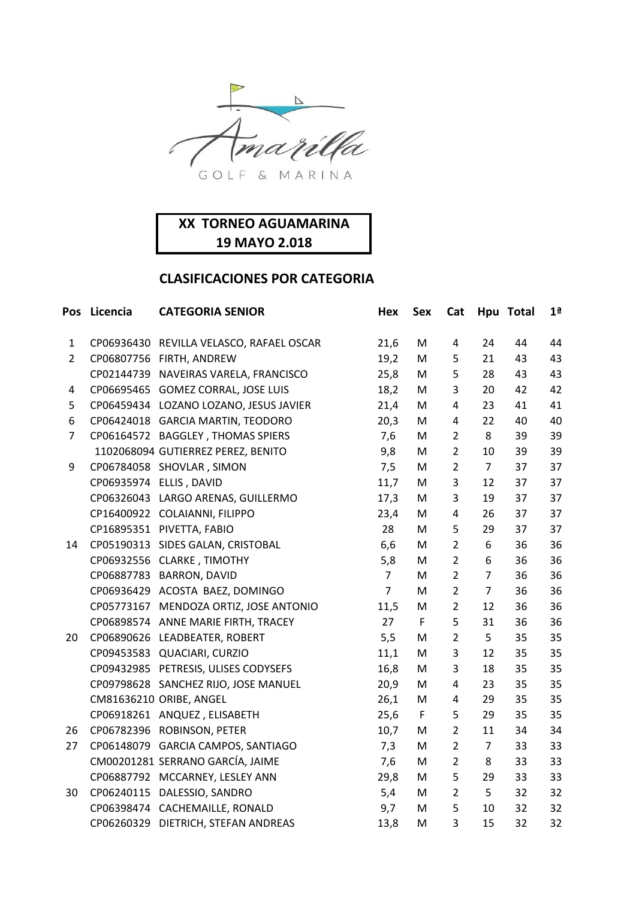

|                | Pos Licencia | <b>CATEGORIA SENIOR</b>                  | Hex            | <b>Sex</b>  | Cat            |                | Hpu Total | 1 <sup>a</sup> |
|----------------|--------------|------------------------------------------|----------------|-------------|----------------|----------------|-----------|----------------|
| $\mathbf{1}$   |              | CP06936430 REVILLA VELASCO, RAFAEL OSCAR | 21,6           | M           | $\overline{4}$ | 24             | 44        | 44             |
| $\overline{2}$ |              | CP06807756 FIRTH, ANDREW                 | 19,2           | M           | 5              | 21             | 43        | 43             |
|                |              | CP02144739 NAVEIRAS VARELA, FRANCISCO    | 25,8           | M           | 5              | 28             | 43        | 43             |
| 4              |              | CP06695465 GOMEZ CORRAL, JOSE LUIS       | 18,2           | M           | 3              | 20             | 42        | 42             |
| 5              |              | CP06459434 LOZANO LOZANO, JESUS JAVIER   | 21,4           | M           | 4              | 23             | 41        | 41             |
| 6              |              | CP06424018 GARCIA MARTIN, TEODORO        | 20,3           | M           | 4              | 22             | 40        | 40             |
| $\overline{7}$ |              | CP06164572 BAGGLEY, THOMAS SPIERS        | 7,6            | M           | $\overline{2}$ | 8              | 39        | 39             |
|                |              | 1102068094 GUTIERREZ PEREZ, BENITO       | 9,8            | M           | $\overline{2}$ | 10             | 39        | 39             |
| 9              |              | CP06784058 SHOVLAR, SIMON                | 7,5            | M           | $\overline{2}$ | $\overline{7}$ | 37        | 37             |
|                |              | CP06935974 ELLIS, DAVID                  | 11,7           | M           | 3              | 12             | 37        | 37             |
|                |              | CP06326043 LARGO ARENAS, GUILLERMO       | 17,3           | M           | 3              | 19             | 37        | 37             |
|                |              | CP16400922 COLAIANNI, FILIPPO            | 23,4           | M           | $\sqrt{4}$     | 26             | 37        | 37             |
|                |              | CP16895351 PIVETTA, FABIO                | 28             | M           | 5              | 29             | 37        | 37             |
| 14             |              | CP05190313 SIDES GALAN, CRISTOBAL        | 6,6            | M           | $\overline{2}$ | 6              | 36        | 36             |
|                |              | CP06932556 CLARKE, TIMOTHY               | 5,8            | M           | $\overline{2}$ | 6              | 36        | 36             |
|                |              | CP06887783 BARRON, DAVID                 | $\overline{7}$ | M           | $\overline{2}$ | $\overline{7}$ | 36        | 36             |
|                |              | CP06936429 ACOSTA BAEZ, DOMINGO          | $\overline{7}$ | M           | $\overline{2}$ | $\overline{7}$ | 36        | 36             |
|                |              | CP05773167 MENDOZA ORTIZ, JOSE ANTONIO   | 11,5           | M           | $\overline{2}$ | 12             | 36        | 36             |
|                |              | CP06898574 ANNE MARIE FIRTH, TRACEY      | 27             | $\mathsf F$ | 5              | 31             | 36        | 36             |
| 20             |              | CP06890626 LEADBEATER, ROBERT            | 5,5            | M           | $\overline{2}$ | 5              | 35        | 35             |
|                |              | CP09453583 QUACIARI, CURZIO              | 11,1           | M           | 3              | 12             | 35        | 35             |
|                |              | CP09432985 PETRESIS, ULISES CODYSEFS     | 16,8           | M           | 3              | 18             | 35        | 35             |
|                |              | CP09798628 SANCHEZ RIJO, JOSE MANUEL     | 20,9           | M           | 4              | 23             | 35        | 35             |
|                |              | CM81636210 ORIBE, ANGEL                  | 26,1           | M           | $\sqrt{4}$     | 29             | 35        | 35             |
|                |              | CP06918261 ANQUEZ, ELISABETH             | 25,6           | $\mathsf F$ | 5              | 29             | 35        | 35             |
| 26             |              | CP06782396 ROBINSON, PETER               | 10,7           | M           | $\overline{2}$ | 11             | 34        | 34             |
| 27             |              | CP06148079 GARCIA CAMPOS, SANTIAGO       | 7,3            | M           | $\overline{2}$ | $\overline{7}$ | 33        | 33             |
|                |              | CM00201281 SERRANO GARCÍA, JAIME         | 7,6            | M           | $\overline{2}$ | 8              | 33        | 33             |
|                |              | CP06887792 MCCARNEY, LESLEY ANN          | 29,8           | M           | 5              | 29             | 33        | 33             |
| 30             |              | CP06240115 DALESSIO, SANDRO              | 5,4            | M           | $\overline{2}$ | 5              | 32        | 32             |
|                |              | CP06398474 CACHEMAILLE, RONALD           | 9,7            | M           | 5              | 10             | 32        | 32             |
|                |              | CP06260329 DIETRICH, STEFAN ANDREAS      | 13,8           | M           | 3              | 15             | 32        | 32             |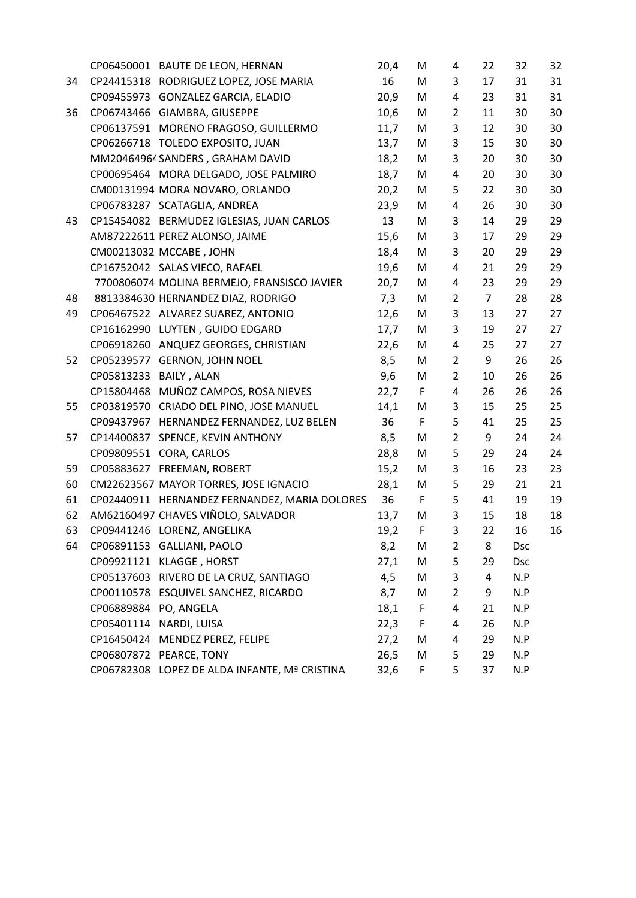|    |                        | CP06450001 BAUTE DE LEON, HERNAN              | 20,4 | M | 4              | 22             | 32         | 32 |
|----|------------------------|-----------------------------------------------|------|---|----------------|----------------|------------|----|
| 34 |                        | CP24415318 RODRIGUEZ LOPEZ, JOSE MARIA        | 16   | M | 3              | 17             | 31         | 31 |
|    |                        | CP09455973 GONZALEZ GARCIA, ELADIO            | 20,9 | M | 4              | 23             | 31         | 31 |
| 36 |                        | CP06743466 GIAMBRA, GIUSEPPE                  | 10,6 | M | $\overline{2}$ | 11             | 30         | 30 |
|    |                        | CP06137591 MORENO FRAGOSO, GUILLERMO          | 11,7 | M | 3              | 12             | 30         | 30 |
|    |                        | CP06266718 TOLEDO EXPOSITO, JUAN              | 13,7 | M | 3              | 15             | 30         | 30 |
|    |                        | MM20464964 SANDERS, GRAHAM DAVID              | 18,2 | M | 3              | 20             | 30         | 30 |
|    |                        | CP00695464 MORA DELGADO, JOSE PALMIRO         | 18,7 | M | 4              | 20             | 30         | 30 |
|    |                        | CM00131994 MORA NOVARO, ORLANDO               | 20,2 | M | 5              | 22             | 30         | 30 |
|    |                        | CP06783287 SCATAGLIA, ANDREA                  | 23,9 | M | 4              | 26             | 30         | 30 |
| 43 |                        | CP15454082 BERMUDEZ IGLESIAS, JUAN CARLOS     | 13   | M | 3              | 14             | 29         | 29 |
|    |                        | AM87222611 PEREZ ALONSO, JAIME                | 15,6 | M | 3              | 17             | 29         | 29 |
|    |                        | CM00213032 MCCABE, JOHN                       | 18,4 | M | 3              | 20             | 29         | 29 |
|    |                        | CP16752042 SALAS VIECO, RAFAEL                | 19,6 | M | 4              | 21             | 29         | 29 |
|    |                        | 7700806074 MOLINA BERMEJO, FRANSISCO JAVIER   | 20,7 | M | 4              | 23             | 29         | 29 |
| 48 |                        | 8813384630 HERNANDEZ DIAZ, RODRIGO            | 7,3  | M | $\overline{2}$ | $\overline{7}$ | 28         | 28 |
| 49 |                        | CP06467522 ALVAREZ SUAREZ, ANTONIO            | 12,6 | M | 3              | 13             | 27         | 27 |
|    |                        | CP16162990 LUYTEN, GUIDO EDGARD               | 17,7 | M | 3              | 19             | 27         | 27 |
|    |                        | CP06918260 ANQUEZ GEORGES, CHRISTIAN          | 22,6 | M | $\overline{4}$ | 25             | 27         | 27 |
| 52 |                        | CP05239577 GERNON, JOHN NOEL                  | 8,5  | M | $\overline{2}$ | 9              | 26         | 26 |
|    | CP05813233 BAILY, ALAN |                                               | 9,6  | M | $\overline{2}$ | 10             | 26         | 26 |
|    |                        | CP15804468 MUÑOZ CAMPOS, ROSA NIEVES          | 22,7 | F | 4              | 26             | 26         | 26 |
| 55 |                        | CP03819570 CRIADO DEL PINO, JOSE MANUEL       | 14,1 | M | 3              | 15             | 25         | 25 |
|    |                        | CP09437967 HERNANDEZ FERNANDEZ, LUZ BELEN     | 36   | F | 5              | 41             | 25         | 25 |
| 57 |                        | CP14400837 SPENCE, KEVIN ANTHONY              | 8,5  | M | $\overline{2}$ | 9              | 24         | 24 |
|    |                        | CP09809551 CORA, CARLOS                       | 28,8 | M | 5              | 29             | 24         | 24 |
| 59 |                        | CP05883627 FREEMAN, ROBERT                    | 15,2 | M | 3              | 16             | 23         | 23 |
| 60 |                        | CM22623567 MAYOR TORRES, JOSE IGNACIO         | 28,1 | M | 5              | 29             | 21         | 21 |
| 61 |                        | CP02440911 HERNANDEZ FERNANDEZ, MARIA DOLORES | 36   | F | 5              | 41             | 19         | 19 |
| 62 |                        | AM62160497 CHAVES VIÑOLO, SALVADOR            | 13,7 | M | 3              | 15             | 18         | 18 |
| 63 |                        | CP09441246 LORENZ, ANGELIKA                   | 19,2 | F | 3              | 22             | 16         | 16 |
| 64 |                        | CP06891153 GALLIANI, PAOLO                    | 8,2  | M | $\overline{2}$ | 8              | <b>Dsc</b> |    |
|    |                        | CP09921121 KLAGGE, HORST                      | 27,1 | M | 5              | 29             | <b>Dsc</b> |    |
|    |                        | CP05137603 RIVERO DE LA CRUZ, SANTIAGO        | 4,5  | M | 3              | 4              | N.P        |    |
|    |                        | CP00110578 ESQUIVEL SANCHEZ, RICARDO          | 8,7  | M | $\overline{2}$ | 9              | N.P        |    |
|    | CP06889884 PO, ANGELA  |                                               | 18,1 | F | 4              | 21             | N.P        |    |
|    |                        | CP05401114 NARDI, LUISA                       | 22,3 | F | $\overline{a}$ | 26             | N.P        |    |
|    |                        | CP16450424 MENDEZ PEREZ, FELIPE               | 27,2 | M | 4              | 29             | N.P        |    |
|    |                        | CP06807872 PEARCE, TONY                       | 26,5 | M | 5              | 29             | N.P        |    |
|    |                        | CP06782308 LOPEZ DE ALDA INFANTE, Mª CRISTINA | 32,6 | F | 5              | 37             | N.P        |    |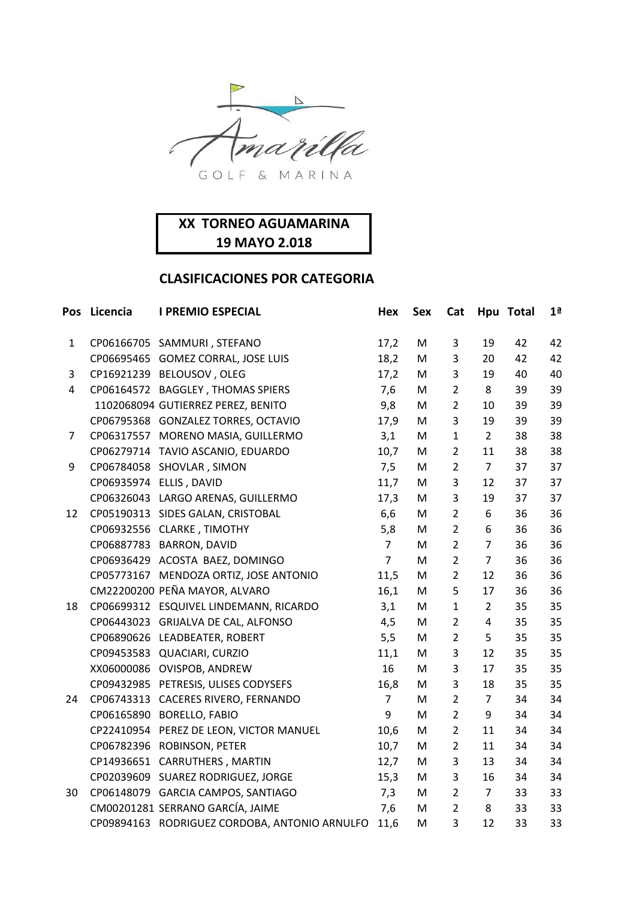

| Pos          | Licencia | <b>I PREMIO ESPECIAL</b>                      | Hex            | <b>Sex</b> | Cat            |                | Hpu Total | 1 <sup>a</sup> |
|--------------|----------|-----------------------------------------------|----------------|------------|----------------|----------------|-----------|----------------|
| $\mathbf{1}$ |          | CP06166705 SAMMURI, STEFANO                   | 17,2           | M          | 3              | 19             | 42        | 42             |
|              |          | CP06695465 GOMEZ CORRAL, JOSE LUIS            | 18,2           | M          | 3              | 20             | 42        | 42             |
| 3            |          | CP16921239 BELOUSOV, OLEG                     | 17,2           | M          | 3              | 19             | 40        | 40             |
| 4            |          | CP06164572 BAGGLEY, THOMAS SPIERS             | 7,6            | M          | $\overline{2}$ | 8              | 39        | 39             |
|              |          | 1102068094 GUTIERREZ PEREZ, BENITO            | 9,8            | M          | $\overline{2}$ | 10             | 39        | 39             |
|              |          | CP06795368 GONZALEZ TORRES, OCTAVIO           | 17,9           | M          | 3              | 19             | 39        | 39             |
| 7            |          | CP06317557 MORENO MASIA, GUILLERMO            | 3,1            | M          | $\mathbf{1}$   | $\overline{2}$ | 38        | 38             |
|              |          | CP06279714 TAVIO ASCANIO, EDUARDO             | 10,7           | M          | $\overline{2}$ | 11             | 38        | 38             |
| 9            |          | CP06784058 SHOVLAR, SIMON                     | 7,5            | M          | $\overline{2}$ | $\overline{7}$ | 37        | 37             |
|              |          | CP06935974 ELLIS, DAVID                       | 11,7           | M          | 3              | 12             | 37        | 37             |
|              |          | CP06326043 LARGO ARENAS, GUILLERMO            | 17,3           | M          | 3              | 19             | 37        | 37             |
| 12           |          | CP05190313 SIDES GALAN, CRISTOBAL             | 6,6            | M          | $\overline{2}$ | 6              | 36        | 36             |
|              |          | CP06932556 CLARKE, TIMOTHY                    | 5,8            | M          | $\overline{2}$ | 6              | 36        | 36             |
|              |          | CP06887783 BARRON, DAVID                      | $\overline{7}$ | M          | $\overline{2}$ | $\overline{7}$ | 36        | 36             |
|              |          | CP06936429 ACOSTA BAEZ, DOMINGO               | $\overline{7}$ | M          | $\overline{2}$ | $\overline{7}$ | 36        | 36             |
|              |          | CP05773167 MENDOZA ORTIZ, JOSE ANTONIO        | 11,5           | M          | $\overline{2}$ | 12             | 36        | 36             |
|              |          | CM22200200 PEÑA MAYOR, ALVARO                 | 16,1           | M          | 5              | 17             | 36        | 36             |
| 18           |          | CP06699312 ESQUIVEL LINDEMANN, RICARDO        | 3,1            | M          | $\mathbf{1}$   | $\overline{2}$ | 35        | 35             |
|              |          | CP06443023 GRIJALVA DE CAL, ALFONSO           | 4,5            | M          | $\overline{2}$ | $\overline{4}$ | 35        | 35             |
|              |          | CP06890626 LEADBEATER, ROBERT                 | 5,5            | M          | $\overline{2}$ | 5              | 35        | 35             |
|              |          | CP09453583 QUACIARI, CURZIO                   | 11,1           | M          | 3              | 12             | 35        | 35             |
|              |          | XX06000086 OVISPOB, ANDREW                    | 16             | M          | 3              | 17             | 35        | 35             |
|              |          | CP09432985 PETRESIS, ULISES CODYSEFS          | 16,8           | M          | 3              | 18             | 35        | 35             |
| 24           |          | CP06743313 CACERES RIVERO, FERNANDO           | $\overline{7}$ | M          | $\overline{2}$ | $\overline{7}$ | 34        | 34             |
|              |          | CP06165890 BORELLO, FABIO                     | 9              | M          | $\overline{2}$ | 9              | 34        | 34             |
|              |          | CP22410954 PEREZ DE LEON, VICTOR MANUEL       | 10,6           | M          | $\overline{2}$ | 11             | 34        | 34             |
|              |          | CP06782396 ROBINSON, PETER                    | 10,7           | M          | $\overline{2}$ | 11             | 34        | 34             |
|              |          | CP14936651 CARRUTHERS, MARTIN                 | 12,7           | M          | 3              | 13             | 34        | 34             |
|              |          | CP02039609 SUAREZ RODRIGUEZ, JORGE            | 15,3           | M          | 3              | 16             | 34        | 34             |
| 30           |          | CP06148079 GARCIA CAMPOS, SANTIAGO            | 7,3            | M          | $\overline{2}$ | $\overline{7}$ | 33        | 33             |
|              |          | CM00201281 SERRANO GARCÍA, JAIME              | 7,6            | M          | $\overline{2}$ | 8              | 33        | 33             |
|              |          | CP09894163 RODRIGUEZ CORDOBA, ANTONIO ARNULFO | 11,6           | M          | 3              | 12             | 33        | 33             |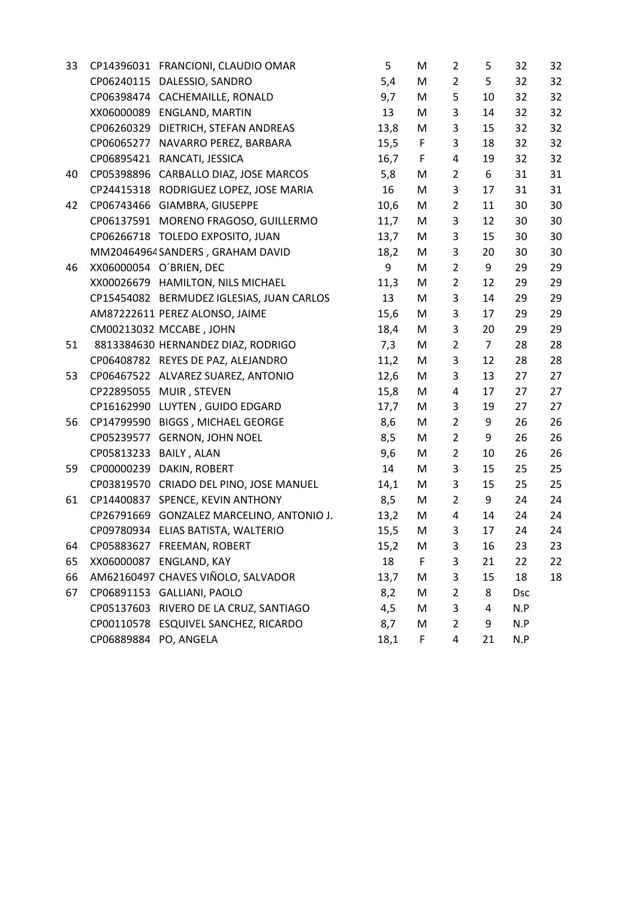| 33 |                        | CP14396031 FRANCIONI, CLAUDIO OMAR        | 5    | M           | 2              | 5              | 32         | 32 |
|----|------------------------|-------------------------------------------|------|-------------|----------------|----------------|------------|----|
|    |                        | CP06240115 DALESSIO, SANDRO               | 5,4  | M           | $\overline{2}$ | 5              | 32         | 32 |
|    |                        | CP06398474 CACHEMAILLE, RONALD            | 9,7  | M           | 5              | 10             | 32         | 32 |
|    |                        | XX06000089 ENGLAND, MARTIN                | 13   | M           | 3              | 14             | 32         | 32 |
|    |                        | CP06260329 DIETRICH, STEFAN ANDREAS       | 13,8 | M           | 3              | 15             | 32         | 32 |
|    |                        | CP06065277 NAVARRO PEREZ, BARBARA         | 15,5 | F           | 3              | 18             | 32         | 32 |
|    |                        | CP06895421 RANCATI, JESSICA               | 16,7 | $\mathsf F$ | 4              | 19             | 32         | 32 |
| 40 |                        | CP05398896 CARBALLO DIAZ, JOSE MARCOS     | 5,8  | M           | $\overline{2}$ | 6              | 31         | 31 |
|    |                        | CP24415318 RODRIGUEZ LOPEZ, JOSE MARIA    | 16   | M           | 3              | 17             | 31         | 31 |
| 42 |                        | CP06743466 GIAMBRA, GIUSEPPE              | 10,6 | M           | $\overline{2}$ | 11             | 30         | 30 |
|    |                        | CP06137591 MORENO FRAGOSO, GUILLERMO      | 11,7 | M           | 3              | 12             | 30         | 30 |
|    |                        | CP06266718 TOLEDO EXPOSITO, JUAN          | 13,7 | M           | 3              | 15             | 30         | 30 |
|    |                        | MM20464964 SANDERS, GRAHAM DAVID          | 18,2 | M           | 3              | 20             | 30         | 30 |
| 46 |                        | XX06000054 O'BRIEN, DEC                   | 9    | M           | $\overline{2}$ | 9              | 29         | 29 |
|    |                        | XX00026679 HAMILTON, NILS MICHAEL         | 11,3 | M           | $\overline{2}$ | 12             | 29         | 29 |
|    |                        | CP15454082 BERMUDEZ IGLESIAS, JUAN CARLOS | 13   | M           | 3              | 14             | 29         | 29 |
|    |                        | AM87222611 PEREZ ALONSO, JAIME            | 15,6 | M           | 3              | 17             | 29         | 29 |
|    |                        | CM00213032 MCCABE, JOHN                   | 18,4 | M           | 3              | 20             | 29         | 29 |
| 51 |                        | 8813384630 HERNANDEZ DIAZ, RODRIGO        | 7,3  | M           | $\overline{2}$ | $\overline{7}$ | 28         | 28 |
|    |                        | CP06408782 REYES DE PAZ, ALEJANDRO        | 11,2 | M           | 3              | 12             | 28         | 28 |
| 53 |                        | CP06467522 ALVAREZ SUAREZ, ANTONIO        | 12,6 | M           | 3              | 13             | 27         | 27 |
|    |                        | CP22895055 MUIR, STEVEN                   | 15,8 | M           | 4              | 17             | 27         | 27 |
|    |                        | CP16162990 LUYTEN, GUIDO EDGARD           | 17,7 | M           | 3              | 19             | 27         | 27 |
| 56 |                        | CP14799590 BIGGS, MICHAEL GEORGE          | 8,6  | M           | $\overline{2}$ | 9              | 26         | 26 |
|    |                        | CP05239577 GERNON, JOHN NOEL              | 8,5  | M           | $\overline{2}$ | 9              | 26         | 26 |
|    | CP05813233 BAILY, ALAN |                                           | 9,6  | M           | $\overline{2}$ | 10             | 26         | 26 |
| 59 | CP00000239             | DAKIN, ROBERT                             | 14   | M           | 3              | 15             | 25         | 25 |
|    |                        | CP03819570 CRIADO DEL PINO, JOSE MANUEL   | 14,1 | M           | 3              | 15             | 25         | 25 |
| 61 |                        | CP14400837 SPENCE, KEVIN ANTHONY          | 8,5  | M           | $\overline{2}$ | 9              | 24         | 24 |
|    |                        | CP26791669 GONZALEZ MARCELINO, ANTONIO J. | 13,2 | M           | 4              | 14             | 24         | 24 |
|    |                        | CP09780934 ELIAS BATISTA, WALTERIO        | 15,5 | M           | 3              | 17             | 24         | 24 |
| 64 |                        | CP05883627 FREEMAN, ROBERT                | 15,2 | M           | 3              | 16             | 23         | 23 |
| 65 |                        | XX06000087 ENGLAND, KAY                   | 18   | F           | 3              | 21             | 22         | 22 |
| 66 |                        | AM62160497 CHAVES VIÑOLO, SALVADOR        | 13,7 | M           | 3              | 15             | 18         | 18 |
| 67 |                        | CP06891153 GALLIANI, PAOLO                | 8,2  | M           | $\overline{2}$ | 8              | <b>Dsc</b> |    |
|    |                        | CP05137603 RIVERO DE LA CRUZ, SANTIAGO    | 4,5  | M           | 3              | 4              | N.P        |    |
|    |                        | CP00110578 ESQUIVEL SANCHEZ, RICARDO      | 8,7  | M           | $\overline{2}$ | 9              | N.P        |    |
|    | CP06889884 PO, ANGELA  |                                           | 18,1 | F.          | 4              | 21             | N.P        |    |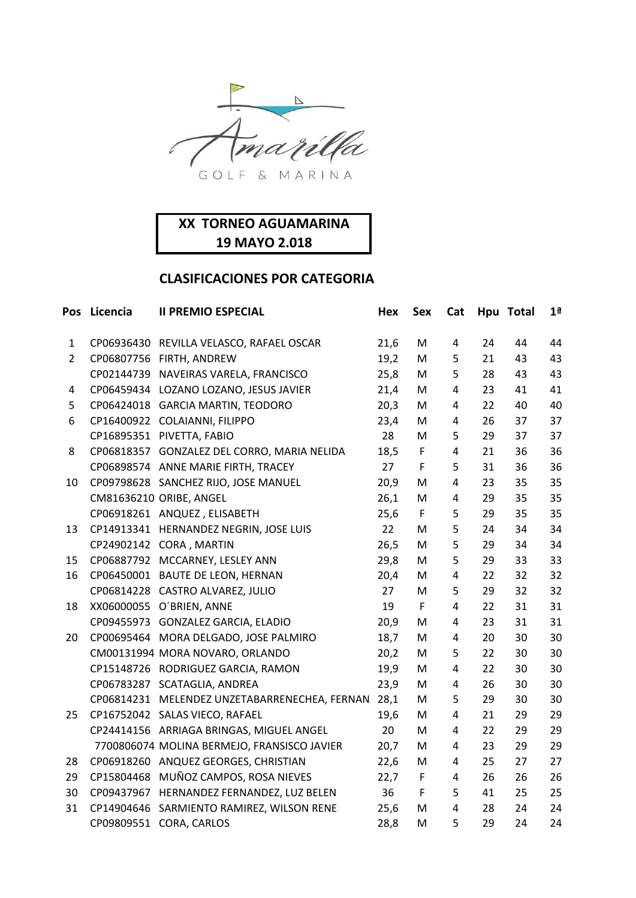

|                | Pos Licencia | <b>II PREMIO ESPECIAL</b>                     | Hex  | <b>Sex</b>  | Cat                     |    | Hpu Total | 1 <sup>a</sup> |
|----------------|--------------|-----------------------------------------------|------|-------------|-------------------------|----|-----------|----------------|
| 1              |              | CP06936430 REVILLA VELASCO, RAFAEL OSCAR      | 21,6 | M           | $\overline{4}$          | 24 | 44        | 44             |
| $\overline{2}$ |              | CP06807756 FIRTH, ANDREW                      | 19,2 | M           | 5                       | 21 | 43        | 43             |
|                |              | CP02144739 NAVEIRAS VARELA, FRANCISCO         | 25,8 | M           | 5                       | 28 | 43        | 43             |
| 4              |              | CP06459434 LOZANO LOZANO, JESUS JAVIER        | 21,4 | M           | $\overline{\mathbf{4}}$ | 23 | 41        | 41             |
| 5              |              | CP06424018 GARCIA MARTIN, TEODORO             | 20,3 | M           | 4                       | 22 | 40        | 40             |
| 6              |              | CP16400922 COLAIANNI, FILIPPO                 | 23,4 | M           | 4                       | 26 | 37        | 37             |
|                |              | CP16895351 PIVETTA, FABIO                     | 28   | M           | 5                       | 29 | 37        | 37             |
| 8              |              | CP06818357 GONZALEZ DEL CORRO, MARIA NELIDA   | 18,5 | $\mathsf F$ | 4                       | 21 | 36        | 36             |
|                |              | CP06898574 ANNE MARIE FIRTH, TRACEY           | 27   | F           | 5                       | 31 | 36        | 36             |
| 10             |              | CP09798628 SANCHEZ RIJO, JOSE MANUEL          | 20,9 | M           | $\overline{\mathbf{4}}$ | 23 | 35        | 35             |
|                |              | CM81636210 ORIBE, ANGEL                       | 26,1 | M           | 4                       | 29 | 35        | 35             |
|                |              | CP06918261 ANQUEZ, ELISABETH                  | 25,6 | $\mathsf F$ | 5                       | 29 | 35        | 35             |
| 13             |              | CP14913341 HERNANDEZ NEGRIN, JOSE LUIS        | 22   | M           | 5                       | 24 | 34        | 34             |
|                |              | CP24902142 CORA, MARTIN                       | 26,5 | M           | 5                       | 29 | 34        | 34             |
| 15             |              | CP06887792 MCCARNEY, LESLEY ANN               | 29,8 | M           | 5                       | 29 | 33        | 33             |
| 16             |              | CP06450001 BAUTE DE LEON, HERNAN              | 20,4 | M           | 4                       | 22 | 32        | 32             |
|                |              | CP06814228 CASTRO ALVAREZ, JULIO              | 27   | M           | 5                       | 29 | 32        | 32             |
| 18             |              | XX06000055 O'BRIEN, ANNE                      | 19   | F.          | $\overline{\mathbf{4}}$ | 22 | 31        | 31             |
|                |              | CP09455973 GONZALEZ GARCIA, ELADIO            | 20,9 | M           | 4                       | 23 | 31        | 31             |
| 20             |              | CP00695464 MORA DELGADO, JOSE PALMIRO         | 18,7 | M           | 4                       | 20 | 30        | 30             |
|                |              | CM00131994 MORA NOVARO, ORLANDO               | 20,2 | M           | 5                       | 22 | 30        | 30             |
|                |              | CP15148726 RODRIGUEZ GARCIA, RAMON            | 19,9 | M           | 4                       | 22 | 30        | 30             |
|                |              | CP06783287 SCATAGLIA, ANDREA                  | 23,9 | M           | 4                       | 26 | 30        | 30             |
|                |              | CP06814231 MELENDEZ UNZETABARRENECHEA, FERNAN | 28,1 | M           | 5                       | 29 | 30        | 30             |
| 25             |              | CP16752042 SALAS VIECO, RAFAEL                | 19,6 | M           | 4                       | 21 | 29        | 29             |
|                |              | CP24414156 ARRIAGA BRINGAS, MIGUEL ANGEL      | 20   | M           | 4                       | 22 | 29        | 29             |
|                |              | 7700806074 MOLINA BERMEJO, FRANSISCO JAVIER   | 20,7 | M           | $\overline{4}$          | 23 | 29        | 29             |
| 28             |              | CP06918260 ANQUEZ GEORGES, CHRISTIAN          | 22,6 | M           | 4                       | 25 | 27        | 27             |
| 29             |              | CP15804468 MUÑOZ CAMPOS, ROSA NIEVES          | 22,7 | F           | $\overline{a}$          | 26 | 26        | 26             |
| 30             |              | CP09437967 HERNANDEZ FERNANDEZ, LUZ BELEN     | 36   | F           | 5                       | 41 | 25        | 25             |
| 31             |              | CP14904646 SARMIENTO RAMIREZ, WILSON RENE     | 25,6 | M           | $\overline{4}$          | 28 | 24        | 24             |
|                |              | CP09809551 CORA, CARLOS                       | 28,8 | M           | 5                       | 29 | 24        | 24             |